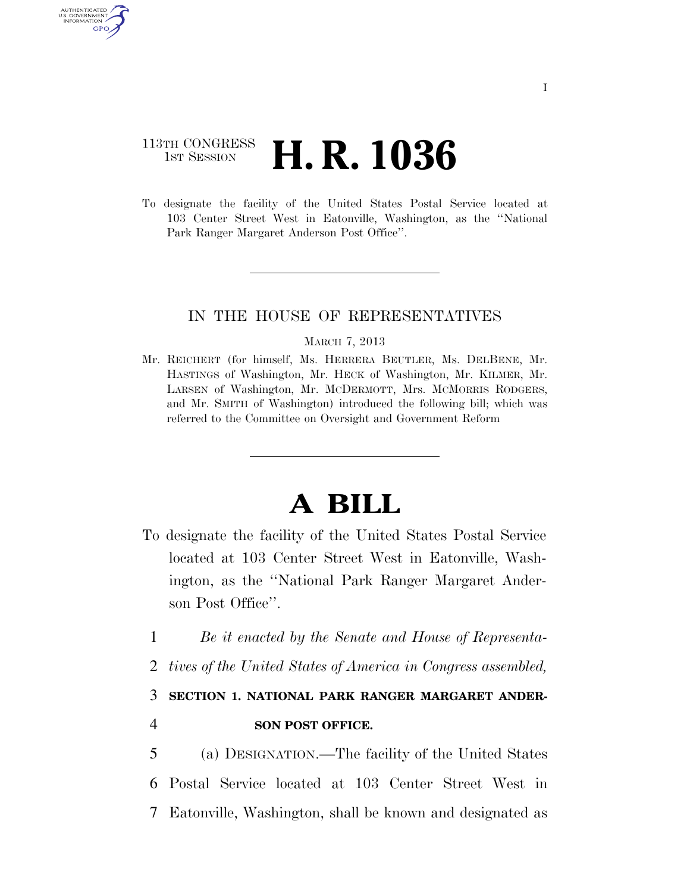## 113TH CONGRESS **1st Session H. R. 1036**

**AUTHENTICAT** U.S. GOVERNMENT GPO

> To designate the facility of the United States Postal Service located at 103 Center Street West in Eatonville, Washington, as the ''National Park Ranger Margaret Anderson Post Office''.

### IN THE HOUSE OF REPRESENTATIVES

#### MARCH 7, 2013

Mr. REICHERT (for himself, Ms. HERRERA BEUTLER, Ms. DELBENE, Mr. HASTINGS of Washington, Mr. HECK of Washington, Mr. KILMER, Mr. LARSEN of Washington, Mr. MCDERMOTT, Mrs. MCMORRIS RODGERS, and Mr. SMITH of Washington) introduced the following bill; which was referred to the Committee on Oversight and Government Reform

# **A BILL**

- To designate the facility of the United States Postal Service located at 103 Center Street West in Eatonville, Washington, as the ''National Park Ranger Margaret Anderson Post Office''.
	- 1 *Be it enacted by the Senate and House of Representa-*
	- 2 *tives of the United States of America in Congress assembled,*

### 3 **SECTION 1. NATIONAL PARK RANGER MARGARET ANDER-**

### 4 **SON POST OFFICE.**

5 (a) DESIGNATION.—The facility of the United States 6 Postal Service located at 103 Center Street West in 7 Eatonville, Washington, shall be known and designated as